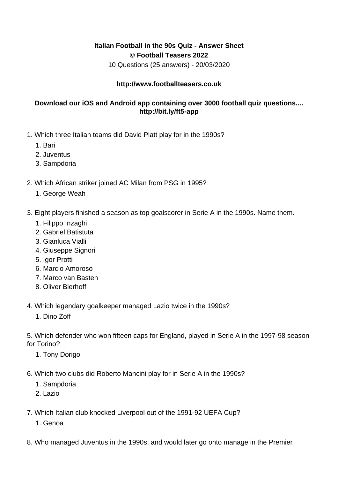## **Italian Football in the 90s Quiz - Answer Sheet © Football Teasers 2022**

10 Questions (25 answers) - 20/03/2020

## **http://www.footballteasers.co.uk**

## **Download our iOS and Android app containing over 3000 football quiz questions.... http://bit.ly/ft5-app**

- 1. Which three Italian teams did David Platt play for in the 1990s?
	- 1. Bari
	- 2. Juventus
	- 3. Sampdoria
- 2. Which African striker joined AC Milan from PSG in 1995?
	- 1. George Weah
- 3. Eight players finished a season as top goalscorer in Serie A in the 1990s. Name them.
	- 1. Filippo Inzaghi
	- 2. Gabriel Batistuta
	- 3. Gianluca Vialli
	- 4. Giuseppe Signori
	- 5. Igor Protti
	- 6. Marcio Amoroso
	- 7. Marco van Basten
	- 8. Oliver Bierhoff
- 4. Which legendary goalkeeper managed Lazio twice in the 1990s?
	- 1. Dino Zoff
- 5. Which defender who won fifteen caps for England, played in Serie A in the 1997-98 season for Torino?
	- 1. Tony Dorigo
- 6. Which two clubs did Roberto Mancini play for in Serie A in the 1990s?
	- 1. Sampdoria
	- 2. Lazio
- 7. Which Italian club knocked Liverpool out of the 1991-92 UEFA Cup?
	- 1. Genoa
- 8. Who managed Juventus in the 1990s, and would later go onto manage in the Premier